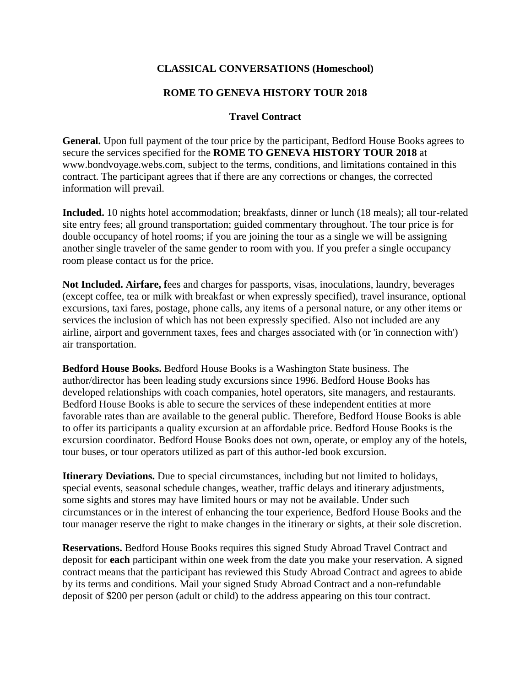## **CLASSICAL CONVERSATIONS (Homeschool)**

## **ROME TO GENEVA HISTORY TOUR 2018**

## **Travel Contract**

**General.** Upon full payment of the tour price by the participant, Bedford House Books agrees to secure the services specified for the **ROME TO GENEVA HISTORY TOUR 2018** at www.bondvoyage.webs.com, subject to the terms, conditions, and limitations contained in this contract. The participant agrees that if there are any corrections or changes, the corrected information will prevail.

**Included.** 10 nights hotel accommodation; breakfasts, dinner or lunch (18 meals); all tour-related site entry fees; all ground transportation; guided commentary throughout. The tour price is for double occupancy of hotel rooms; if you are joining the tour as a single we will be assigning another single traveler of the same gender to room with you. If you prefer a single occupancy room please contact us for the price.

**Not Included. Airfare, f**ees and charges for passports, visas, inoculations, laundry, beverages (except coffee, tea or milk with breakfast or when expressly specified), travel insurance, optional excursions, taxi fares, postage, phone calls, any items of a personal nature, or any other items or services the inclusion of which has not been expressly specified. Also not included are any airline, airport and government taxes, fees and charges associated with (or 'in connection with') air transportation.

**Bedford House Books.** Bedford House Books is a Washington State business. The author/director has been leading study excursions since 1996. Bedford House Books has developed relationships with coach companies, hotel operators, site managers, and restaurants. Bedford House Books is able to secure the services of these independent entities at more favorable rates than are available to the general public. Therefore, Bedford House Books is able to offer its participants a quality excursion at an affordable price. Bedford House Books is the excursion coordinator. Bedford House Books does not own, operate, or employ any of the hotels, tour buses, or tour operators utilized as part of this author-led book excursion.

**Itinerary Deviations.** Due to special circumstances, including but not limited to holidays, special events, seasonal schedule changes, weather, traffic delays and itinerary adjustments, some sights and stores may have limited hours or may not be available. Under such circumstances or in the interest of enhancing the tour experience, Bedford House Books and the tour manager reserve the right to make changes in the itinerary or sights, at their sole discretion.

**Reservations.** Bedford House Books requires this signed Study Abroad Travel Contract and deposit for **each** participant within one week from the date you make your reservation. A signed contract means that the participant has reviewed this Study Abroad Contract and agrees to abide by its terms and conditions. Mail your signed Study Abroad Contract and a non-refundable deposit of \$200 per person (adult or child) to the address appearing on this tour contract.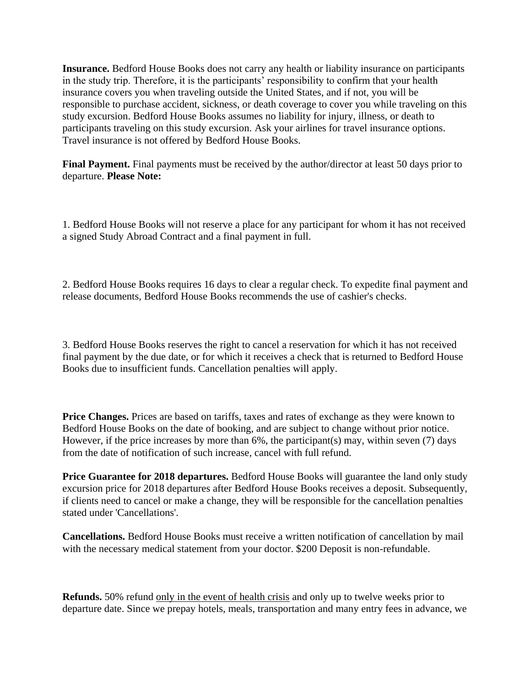**Insurance.** Bedford House Books does not carry any health or liability insurance on participants in the study trip. Therefore, it is the participants' responsibility to confirm that your health insurance covers you when traveling outside the United States, and if not, you will be responsible to purchase accident, sickness, or death coverage to cover you while traveling on this study excursion. Bedford House Books assumes no liability for injury, illness, or death to participants traveling on this study excursion. Ask your airlines for travel insurance options. Travel insurance is not offered by Bedford House Books.

**Final Payment.** Final payments must be received by the author/director at least 50 days prior to departure. **Please Note:** 

1. Bedford House Books will not reserve a place for any participant for whom it has not received a signed Study Abroad Contract and a final payment in full.

2. Bedford House Books requires 16 days to clear a regular check. To expedite final payment and release documents, Bedford House Books recommends the use of cashier's checks.

3. Bedford House Books reserves the right to cancel a reservation for which it has not received final payment by the due date, or for which it receives a check that is returned to Bedford House Books due to insufficient funds. Cancellation penalties will apply.

**Price Changes.** Prices are based on tariffs, taxes and rates of exchange as they were known to Bedford House Books on the date of booking, and are subject to change without prior notice. However, if the price increases by more than 6%, the participant(s) may, within seven (7) days from the date of notification of such increase, cancel with full refund.

**Price Guarantee for 2018 departures.** Bedford House Books will guarantee the land only study excursion price for 2018 departures after Bedford House Books receives a deposit. Subsequently, if clients need to cancel or make a change, they will be responsible for the cancellation penalties stated under 'Cancellations'.

**Cancellations.** Bedford House Books must receive a written notification of cancellation by mail with the necessary medical statement from your doctor. \$200 Deposit is non-refundable.

**Refunds.** 50% refund only in the event of health crisis and only up to twelve weeks prior to departure date. Since we prepay hotels, meals, transportation and many entry fees in advance, we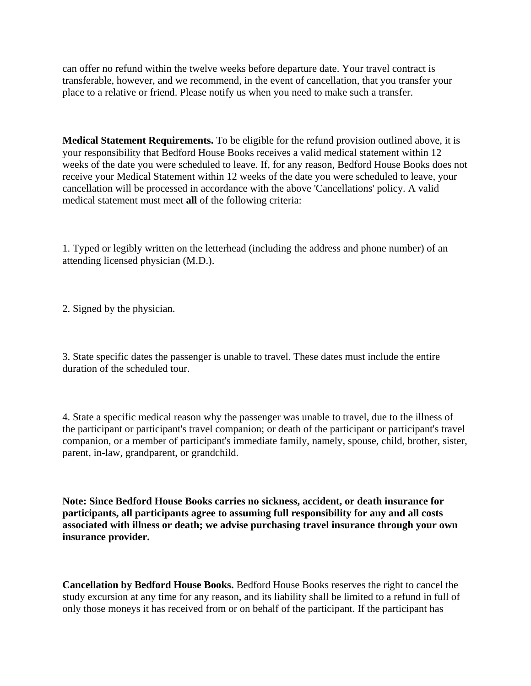can offer no refund within the twelve weeks before departure date. Your travel contract is transferable, however, and we recommend, in the event of cancellation, that you transfer your place to a relative or friend. Please notify us when you need to make such a transfer.

**Medical Statement Requirements.** To be eligible for the refund provision outlined above, it is your responsibility that Bedford House Books receives a valid medical statement within 12 weeks of the date you were scheduled to leave. If, for any reason, Bedford House Books does not receive your Medical Statement within 12 weeks of the date you were scheduled to leave, your cancellation will be processed in accordance with the above 'Cancellations' policy. A valid medical statement must meet **all** of the following criteria:

1. Typed or legibly written on the letterhead (including the address and phone number) of an attending licensed physician (M.D.).

2. Signed by the physician.

3. State specific dates the passenger is unable to travel. These dates must include the entire duration of the scheduled tour.

4. State a specific medical reason why the passenger was unable to travel, due to the illness of the participant or participant's travel companion; or death of the participant or participant's travel companion, or a member of participant's immediate family, namely, spouse, child, brother, sister, parent, in-law, grandparent, or grandchild.

**Note: Since Bedford House Books carries no sickness, accident, or death insurance for participants, all participants agree to assuming full responsibility for any and all costs associated with illness or death; we advise purchasing travel insurance through your own insurance provider.**

**Cancellation by Bedford House Books.** Bedford House Books reserves the right to cancel the study excursion at any time for any reason, and its liability shall be limited to a refund in full of only those moneys it has received from or on behalf of the participant. If the participant has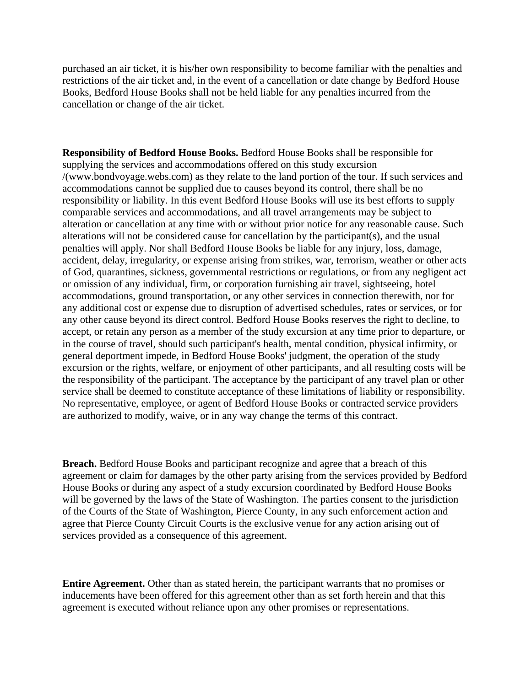purchased an air ticket, it is his/her own responsibility to become familiar with the penalties and restrictions of the air ticket and, in the event of a cancellation or date change by Bedford House Books, Bedford House Books shall not be held liable for any penalties incurred from the cancellation or change of the air ticket.

**Responsibility of Bedford House Books.** Bedford House Books shall be responsible for supplying the services and accommodations offered on this study excursion /(www.bondvoyage.webs.com) as they relate to the land portion of the tour. If such services and accommodations cannot be supplied due to causes beyond its control, there shall be no responsibility or liability. In this event Bedford House Books will use its best efforts to supply comparable services and accommodations, and all travel arrangements may be subject to alteration or cancellation at any time with or without prior notice for any reasonable cause. Such alterations will not be considered cause for cancellation by the participant(s), and the usual penalties will apply. Nor shall Bedford House Books be liable for any injury, loss, damage, accident, delay, irregularity, or expense arising from strikes, war, terrorism, weather or other acts of God, quarantines, sickness, governmental restrictions or regulations, or from any negligent act or omission of any individual, firm, or corporation furnishing air travel, sightseeing, hotel accommodations, ground transportation, or any other services in connection therewith, nor for any additional cost or expense due to disruption of advertised schedules, rates or services, or for any other cause beyond its direct control. Bedford House Books reserves the right to decline, to accept, or retain any person as a member of the study excursion at any time prior to departure, or in the course of travel, should such participant's health, mental condition, physical infirmity, or general deportment impede, in Bedford House Books' judgment, the operation of the study excursion or the rights, welfare, or enjoyment of other participants, and all resulting costs will be the responsibility of the participant. The acceptance by the participant of any travel plan or other service shall be deemed to constitute acceptance of these limitations of liability or responsibility. No representative, employee, or agent of Bedford House Books or contracted service providers are authorized to modify, waive, or in any way change the terms of this contract.

**Breach.** Bedford House Books and participant recognize and agree that a breach of this agreement or claim for damages by the other party arising from the services provided by Bedford House Books or during any aspect of a study excursion coordinated by Bedford House Books will be governed by the laws of the State of Washington. The parties consent to the jurisdiction of the Courts of the State of Washington, Pierce County, in any such enforcement action and agree that Pierce County Circuit Courts is the exclusive venue for any action arising out of services provided as a consequence of this agreement.

**Entire Agreement.** Other than as stated herein, the participant warrants that no promises or inducements have been offered for this agreement other than as set forth herein and that this agreement is executed without reliance upon any other promises or representations.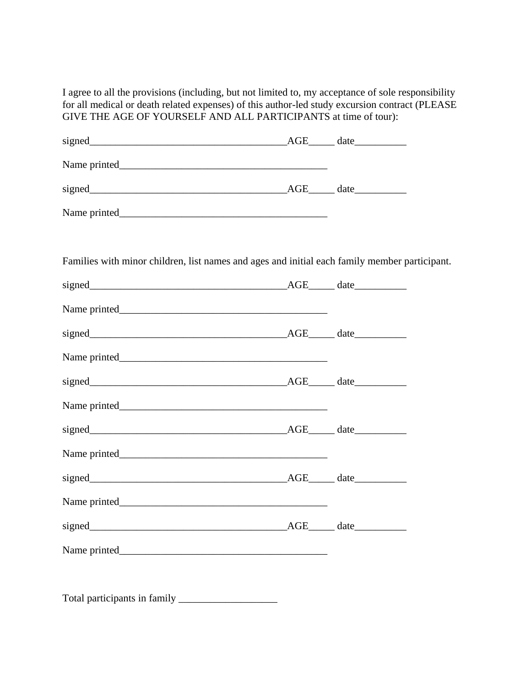I agree to all the provisions (including, but not limited to, my acceptance of sole responsibility for all medical or death related expenses) of this author-led study excursion contract (PLEASE GIVE THE AGE OF YOURSELF AND ALL PARTICIPANTS at time of tour):

| Families with minor children, list names and ages and initial each family member participant. |  |
|-----------------------------------------------------------------------------------------------|--|
|                                                                                               |  |
|                                                                                               |  |
|                                                                                               |  |
|                                                                                               |  |
|                                                                                               |  |
|                                                                                               |  |
|                                                                                               |  |
|                                                                                               |  |
|                                                                                               |  |
|                                                                                               |  |
|                                                                                               |  |
|                                                                                               |  |
|                                                                                               |  |
|                                                                                               |  |

Total participants in family \_\_\_\_\_\_\_\_\_\_\_\_\_\_\_\_\_\_\_